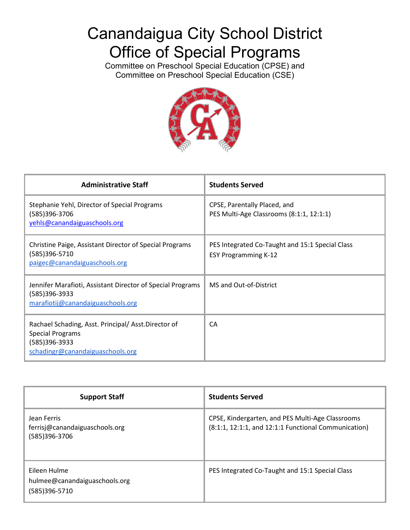# Canandaigua City School District Office of Special Programs

Committee on Preschool Special Education (CPSE) and Committee on Preschool Special Education (CSE)



| <b>Administrative Staff</b>                                                                                                        | <b>Students Served</b>                                                         |
|------------------------------------------------------------------------------------------------------------------------------------|--------------------------------------------------------------------------------|
| Stephanie Yehl, Director of Special Programs<br>(585)396-3706<br>yehls@canandaiguaschools.org                                      | CPSE, Parentally Placed, and<br>PES Multi-Age Classrooms (8:1:1, 12:1:1)       |
| Christine Paige, Assistant Director of Special Programs<br>(585)396-5710<br>paigec@canandaiguaschools.org                          | PES Integrated Co-Taught and 15:1 Special Class<br><b>ESY Programming K-12</b> |
| Jennifer Marafioti, Assistant Director of Special Programs<br>(585)396-3933<br>marafiotij@canandaiguaschools.org                   | MS and Out-of-District                                                         |
| Rachael Schading, Asst. Principal/Asst.Director of<br><b>Special Programs</b><br>(585)396-3933<br>schadingr@canandaiguaschools.org | CA                                                                             |

| <b>Support Staff</b>                                           | <b>Students Served</b>                                                                                   |
|----------------------------------------------------------------|----------------------------------------------------------------------------------------------------------|
| Jean Ferris<br>ferrisj@canandaiguaschools.org<br>(585)396-3706 | CPSE, Kindergarten, and PES Multi-Age Classrooms<br>(8:1:1, 12:1:1, and 12:1:1 Functional Communication) |
| Eileen Hulme<br>hulmee@canandaiguaschools.org<br>(585)396-5710 | PES Integrated Co-Taught and 15:1 Special Class                                                          |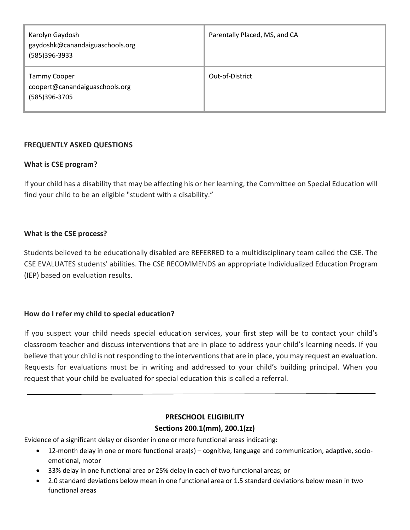| Karolyn Gaydosh<br>gaydoshk@canandaiguaschools.org<br>(585)396-3933    | Parentally Placed, MS, and CA |
|------------------------------------------------------------------------|-------------------------------|
| <b>Tammy Cooper</b><br>coopert@canandaiguaschools.org<br>(585)396-3705 | Out-of-District               |

### **FREQUENTLY ASKED QUESTIONS**

#### **What is CSE program?**

 If your child has a disability that may be affecting his or her learning, the Committee on Special Education will find your child to be an eligible "student with a disability."

#### **What is the CSE process?**

Students believed to be educationally disabled are REFERRED to a multidisciplinary team called the CSE. The CSE EVALUATES students' abilities. The CSE RECOMMENDS an appropriate Individualized Education Program (IEP) based on evaluation results.

### **How do I refer my child to special education?**

 classroom teacher and discuss interventions that are in place to address your child's learning needs. If you Requests for evaluations must be in writing and addressed to your child's building principal. When you If you suspect your child needs special education services, your first step will be to contact your child's believe that your child is not responding to the interventions that are in place, you may request an evaluation. request that your child be evaluated for special education this is called a referral.

### **PRESCHOOL ELIGIBILITY**

#### **Sections 200.1(mm), 200.1(zz)**

Evidence of a significant delay or disorder in one or more functional areas indicating:

- 12-month delay in one or more functional area(s) cognitive, language and communication, adaptive, socioemotional, motor
- 33% delay in one functional area or 25% delay in each of two functional areas; or
- 2.0 standard deviations below mean in one functional area or 1.5 standard deviations below mean in two functional areas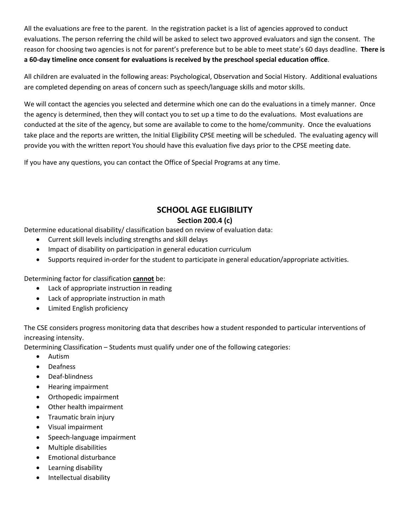reason for choosing two agencies is not for parent's preference but to be able to meet state's 60 days deadline. **There is a 60-day timeline once consent for evaluations is received by the preschool special education office**. All the evaluations are free to the parent. In the registration packet is a list of agencies approved to conduct evaluations. The person referring the child will be asked to select two approved evaluators and sign the consent. The

All children are evaluated in the following areas: Psychological, Observation and Social History. Additional evaluations are completed depending on areas of concern such as speech/language skills and motor skills.

 We will contact the agencies you selected and determine which one can do the evaluations in a timely manner. Once the agency is determined, then they will contact you to set up a time to do the evaluations. Most evaluations are take place and the reports are written, the Initial Eligibility CPSE meeting will be scheduled. The evaluating agency will provide you with the written report You should have this evaluation five days prior to the CPSE meeting date.<br>If you have any questions, you can contact the Office of Special Programs at any time. conducted at the site of the agency, but some are available to come to the home/community. Once the evaluations

If you have any questions, you can contact the Office of Special Programs at any time.

# **SCHOOL AGE ELIGIBILITY**

# **Section 200.4 (c)**

Determine educational disability/ classification based on review of evaluation data:

- Current skill levels including strengths and skill delays
- Impact of disability on participation in general education curriculum
- Supports required in-order for the student to participate in general education/appropriate activities.

Determining factor for classification **cannot** be:

- Lack of appropriate instruction in reading
- Lack of appropriate instruction in math
- Limited English proficiency

 The CSE considers progress monitoring data that describes how a student responded to particular interventions of increasing intensity.

Determining Classification – Students must qualify under one of the following categories:

- Autism
- Deafness
- Deaf-blindness
- Hearing impairment
- Orthopedic impairment
- Other health impairment
- Traumatic brain injury
- Visual impairment
- Speech-language impairment
- Multiple disabilities
- Emotional disturbance
- Learning disability
- Intellectual disability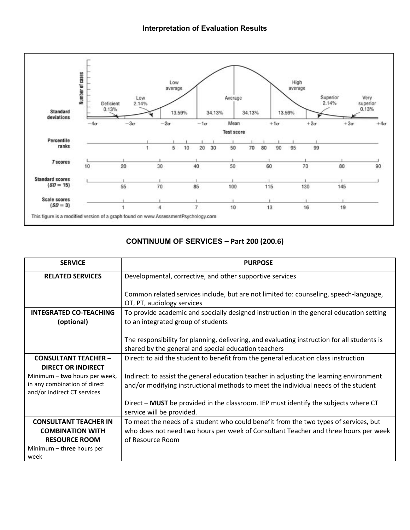

# **CONTINUUM OF SERVICES - Part 200 (200.6)**

| <b>SERVICE</b>                                              | <b>PURPOSE</b>                                                                              |
|-------------------------------------------------------------|---------------------------------------------------------------------------------------------|
| <b>RELATED SERVICES</b>                                     | Developmental, corrective, and other supportive services                                    |
|                                                             | Common related services include, but are not limited to: counseling, speech-language,       |
|                                                             | OT, PT, audiology services                                                                  |
| <b>INTEGRATED CO-TEACHING</b>                               | To provide academic and specially designed instruction in the general education setting     |
| (optional)                                                  | to an integrated group of students                                                          |
|                                                             | The responsibility for planning, delivering, and evaluating instruction for all students is |
|                                                             | shared by the general and special education teachers                                        |
| <b>CONSULTANT TEACHER -</b>                                 | Direct: to aid the student to benefit from the general education class instruction          |
| <b>DIRECT OR INDIRECT</b>                                   |                                                                                             |
| Minimum - two hours per week,                               | Indirect: to assist the general education teacher in adjusting the learning environment     |
| in any combination of direct<br>and/or indirect CT services | and/or modifying instructional methods to meet the individual needs of the student          |
|                                                             | Direct - MUST be provided in the classroom. IEP must identify the subjects where CT         |
|                                                             | service will be provided.                                                                   |
| <b>CONSULTANT TEACHER IN</b>                                | To meet the needs of a student who could benefit from the two types of services, but        |
| <b>COMBINATION WITH</b>                                     | who does not need two hours per week of Consultant Teacher and three hours per week         |
| <b>RESOURCE ROOM</b>                                        | of Resource Room                                                                            |
| Minimum - three hours per                                   |                                                                                             |
| week                                                        |                                                                                             |